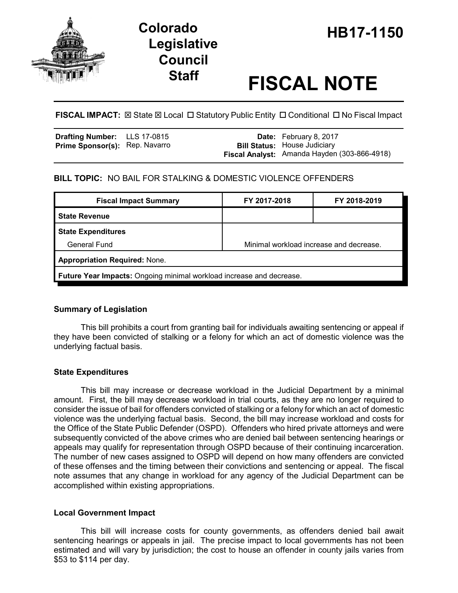

# **Legislative Council**

# **Staff FISCAL NOTE**

**FISCAL IMPACT:**  $\boxtimes$  **State**  $\boxtimes$  **Local □ Statutory Public Entity □ Conditional □ No Fiscal Impact** 

| <b>Drafting Number:</b> LLS 17-0815   |  | <b>Date:</b> February 8, 2017                |
|---------------------------------------|--|----------------------------------------------|
| <b>Prime Sponsor(s):</b> Rep. Navarro |  | <b>Bill Status:</b> House Judiciary          |
|                                       |  | Fiscal Analyst: Amanda Hayden (303-866-4918) |

# **BILL TOPIC:** NO BAIL FOR STALKING & DOMESTIC VIOLENCE OFFENDERS

| <b>Fiscal Impact Summary</b>                                         | FY 2017-2018                            | FY 2018-2019 |  |  |  |
|----------------------------------------------------------------------|-----------------------------------------|--------------|--|--|--|
| <b>State Revenue</b>                                                 |                                         |              |  |  |  |
| <b>State Expenditures</b>                                            |                                         |              |  |  |  |
| General Fund                                                         | Minimal workload increase and decrease. |              |  |  |  |
| <b>Appropriation Required: None.</b>                                 |                                         |              |  |  |  |
| Future Year Impacts: Ongoing minimal workload increase and decrease. |                                         |              |  |  |  |

#### **Summary of Legislation**

This bill prohibits a court from granting bail for individuals awaiting sentencing or appeal if they have been convicted of stalking or a felony for which an act of domestic violence was the underlying factual basis.

# **State Expenditures**

This bill may increase or decrease workload in the Judicial Department by a minimal amount. First, the bill may decrease workload in trial courts, as they are no longer required to consider the issue of bail for offenders convicted of stalking or a felony for which an act of domestic violence was the underlying factual basis. Second, the bill may increase workload and costs for the Office of the State Public Defender (OSPD). Offenders who hired private attorneys and were subsequently convicted of the above crimes who are denied bail between sentencing hearings or appeals may qualify for representation through OSPD because of their continuing incarceration. The number of new cases assigned to OSPD will depend on how many offenders are convicted of these offenses and the timing between their convictions and sentencing or appeal. The fiscal note assumes that any change in workload for any agency of the Judicial Department can be accomplished within existing appropriations.

# **Local Government Impact**

This bill will increase costs for county governments, as offenders denied bail await sentencing hearings or appeals in jail. The precise impact to local governments has not been estimated and will vary by jurisdiction; the cost to house an offender in county jails varies from \$53 to \$114 per day.